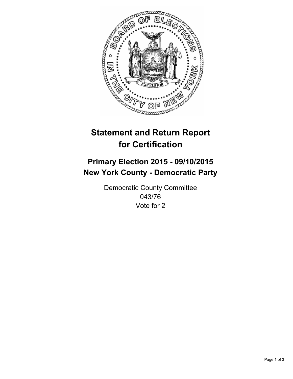

# **Statement and Return Report for Certification**

## **Primary Election 2015 - 09/10/2015 New York County - Democratic Party**

Democratic County Committee 043/76 Vote for 2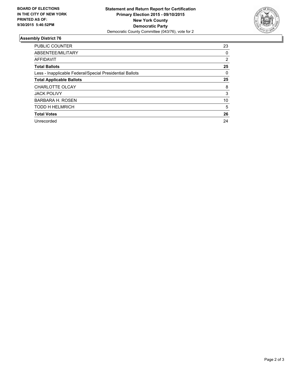

#### **Assembly District 76**

| <b>PUBLIC COUNTER</b>                                    | 23             |
|----------------------------------------------------------|----------------|
| ABSENTEE/MILITARY                                        | 0              |
| <b>AFFIDAVIT</b>                                         | $\overline{2}$ |
| <b>Total Ballots</b>                                     | 25             |
| Less - Inapplicable Federal/Special Presidential Ballots | 0              |
| <b>Total Applicable Ballots</b>                          | 25             |
| <b>CHARLOTTE OLCAY</b>                                   | 8              |
| <b>JACK POLIVY</b>                                       | 3              |
| <b>BARBARA H. ROSEN</b>                                  | 10             |
| <b>TODD H HELMRICH</b>                                   | 5              |
| <b>Total Votes</b>                                       | 26             |
| Unrecorded                                               | 24             |